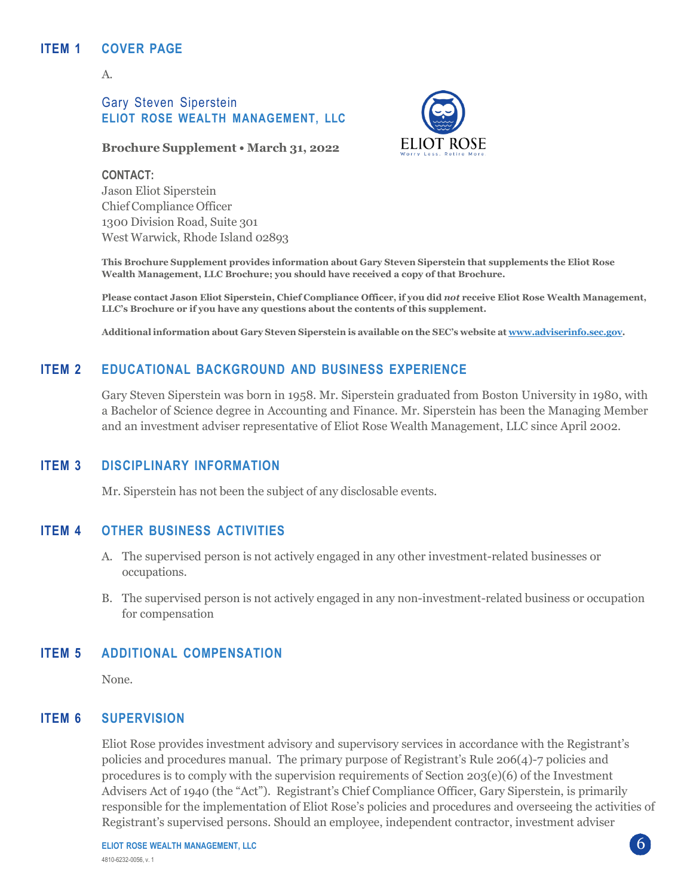## **ITEM 1 COVER PAGE**

A.

# Gary Steven Siperstein **ELIOT ROSE WEALTH MANAGEMENT, LLC**

#### **Brochure Supplement • March 31, 2022**

**CONTACT:** Jason Eliot Siperstein Chief Compliance Officer 1300 Division Road, Suite 301 West Warwick, Rhode Island 02893



**This Brochure Supplement provides information about Gary Steven Siperstein that supplements the Eliot Rose Wealth Management, LLC Brochure; you should have received a copy of that Brochure.**

Please contact Jason Eliot Siperstein, Chief Compliance Officer, if you did not receive Eliot Rose Wealth Management, **LLC's Brochure or if you have any questions about the contents of this supplement.**

**Additional information about Gary Steven Siperstein is available on the SEC's website at [www.adviserinfo.sec.gov.](http://www.adviserinfo.sec.gov/)**

# **ITEM 2 EDUCATIONAL BACKGROUND AND BUSINESS EXPERIENCE**

Gary Steven Siperstein was born in 1958. Mr. Siperstein graduated from Boston University in 1980, with a Bachelor of Science degree in Accounting and Finance. Mr. Siperstein has been the Managing Member and an investment adviser representative of Eliot Rose Wealth Management, LLC since April 2002.

## **ITEM 3 DISCIPLINARY INFORMATION**

Mr. Siperstein has not been the subject of any disclosable events.

### **ITEM 4 OTHER BUSINESS ACTIVITIES**

- A. The supervised person is not actively engaged in any other investment-related businesses or occupations.
- B. The supervised person is not actively engaged in any non-investment-related business or occupation for compensation

# **ITEM 5 ADDITIONAL COMPENSATION**

None.

### **ITEM 6 SUPERVISION**

Eliot Rose provides investment advisory and supervisory services in accordance with the Registrant's policies and procedures manual. The primary purpose of Registrant's Rule 206(4)-7 policies and procedures is to comply with the supervision requirements of Section  $203(e)(6)$  of the Investment Advisers Act of 1940 (the "Act"). Registrant's Chief Compliance Officer, Gary Siperstein, is primarily responsible for the implementation of Eliot Rose's policies and procedures and overseeing the activities of Registrant's supervised persons. Should an employee, independent contractor, investment adviser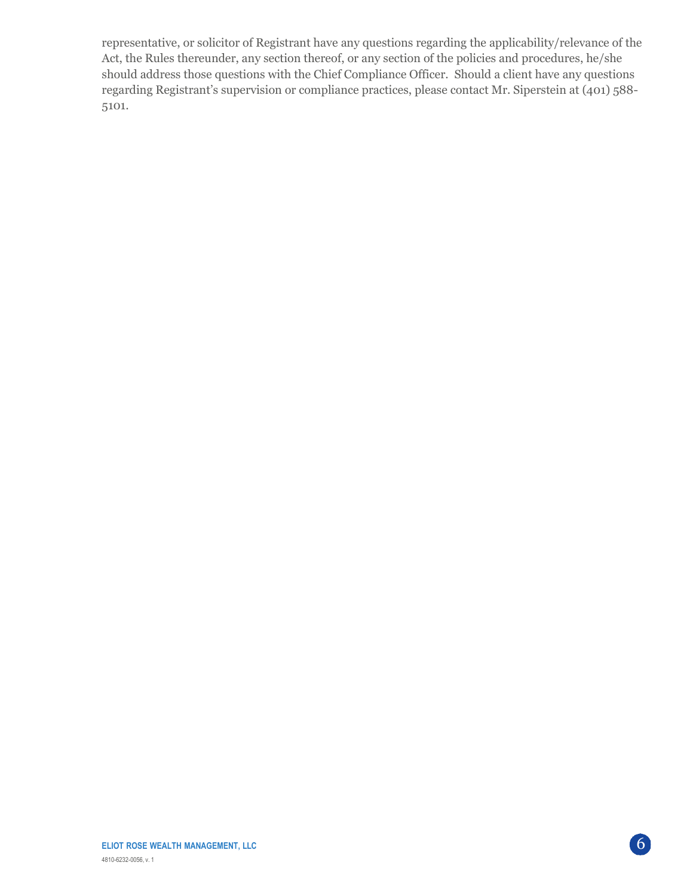representative, or solicitor of Registrant have any questions regarding the applicability/relevance of the Act, the Rules thereunder, any section thereof, or any section of the policies and procedures, he/she should address those questions with the Chief Compliance Officer. Should a client have any questions regarding Registrant's supervision or compliance practices, please contact Mr. Siperstein at (401) 588- 5101.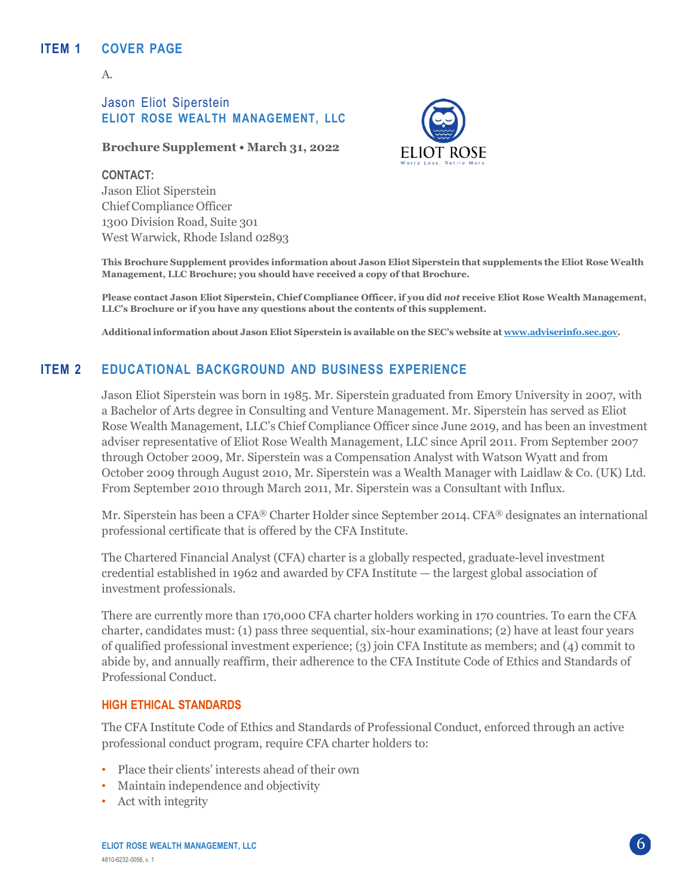# **ITEM 1 COVER PAGE**

A.

# Jason Eliot Siperstein **ELIOT ROSE WEALTH MANAGEMENT, LLC**

#### **Brochure Supplement • March 31, 2022**

**CONTACT:** Jason Eliot Siperstein Chief Compliance Officer 1300 Division Road, Suite 301 West Warwick, Rhode Island 02893



**This Brochure Supplement provides information about Jason Eliot Siperstein that supplements the Eliot Rose Wealth Management, LLC Brochure; you should have received a copy of that Brochure.**

Please contact Jason Eliot Siperstein, Chief Compliance Officer, if you did not receive Eliot Rose Wealth Management, **LLC's Brochure or if you have any questions about the contents of this supplement.**

**Additional information about Jason Eliot Siperstein is available on the SEC's website at [www.adviserinfo.sec.gov.](http://www.adviserinfo.sec.gov/)**

# **ITEM 2 EDUCATIONAL BACKGROUND AND BUSINESS EXPERIENCE**

Jason Eliot Siperstein was born in 1985. Mr. Siperstein graduated from Emory University in 2007, with a Bachelor of Arts degree in Consulting and Venture Management. Mr. Siperstein has served as Eliot Rose Wealth Management, LLC's Chief Compliance Officer since June 2019, and has been an investment adviser representative of Eliot Rose Wealth Management, LLC since April 2011. From September 2007 through October 2009, Mr. Siperstein was a Compensation Analyst with Watson Wyatt and from October 2009 through August 2010, Mr. Siperstein was a Wealth Manager with Laidlaw & Co. (UK) Ltd. From September 2010 through March 2011, Mr. Siperstein was a Consultant with Influx.

Mr. Siperstein has been a CFA® Charter Holder since September 2014. CFA® designates an international professional certificate that is offered by the CFA Institute.

The Chartered Financial Analyst (CFA) charter is a globally respected, graduate-level investment credential established in 1962 and awarded by CFA Institute — the largest global association of investment professionals.

There are currently more than 170,000 CFA charter holders working in 170 countries. To earn the CFA charter, candidates must: (1) pass three sequential, six-hour examinations; (2) have at least four years of qualified professional investment experience; (3) join CFA Institute as members; and (4) commit to abide by, and annually reaffirm, their adherence to the CFA Institute Code of Ethics and Standards of Professional Conduct.

#### **HIGH ETHICAL STANDARDS**

The CFA Institute Code of Ethics and Standards of Professional Conduct, enforced through an active professional conduct program, require CFA charter holders to:

- Place their clients' interests ahead of their own
- Maintain independence and objectivity
- Act with integrity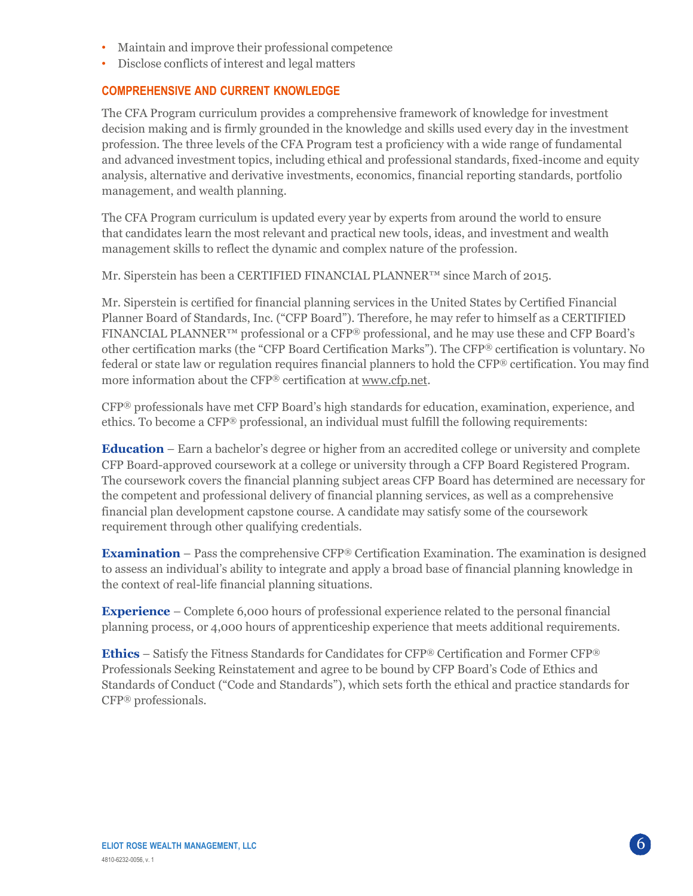- Maintain and improve their professional competence
- Disclose conflicts of interest and legal matters

# **COMPREHENSIVE AND CURRENT KNOWLEDGE**

The CFA Program curriculum provides a comprehensive framework of knowledge for investment decision making and is firmly grounded in the knowledge and skills used every day in the investment profession. The three levels of the CFA Program test a proficiency with a wide range of fundamental and advanced investment topics, including ethical and professional standards, fixed-income and equity analysis, alternative and derivative investments, economics, financial reporting standards, portfolio management, and wealth planning.

The CFA Program curriculum is updated every year by experts from around the world to ensure that candidates learn the most relevant and practical new tools, ideas, and investment and wealth management skills to reflect the dynamic and complex nature of the profession.

Mr. Siperstein has been a CERTIFIED FINANCIAL PLANNER™ since March of 2015.

Mr. Siperstein is certified for financial planning services in the United States by Certified Financial Planner Board of Standards, Inc. ("CFP Board"). Therefore, he may refer to himself as a CERTIFIED FINANCIAL PLANNER™ professional or a CFP® professional, and he may use these and CFP Board's other certification marks (the "CFP Board Certification Marks"). The CFP® certification is voluntary. No federal or state law or regulation requires financial planners to hold the CFP® certification. You may find more information about the CFP® certification at [www.cfp.net.](https://protect-us.mimecast.com/s/1HBOCqxoRqf1V6k3tXIH3k?domain=nam04.safelinks.protection.outlook.com)

CFP® professionals have met CFP Board's high standards for education, examination, experience, and ethics. To become a CFP® professional, an individual must fulfill the following requirements:

**Education** – Earn a bachelor's degree or higher from an accredited college or university and complete CFP Board-approved coursework at a college or university through a CFP Board Registered Program. The coursework covers the financial planning subject areas CFP Board has determined are necessary for the competent and professional delivery of financial planning services, as well as a comprehensive financial plan development capstone course. A candidate may satisfy some of the coursework requirement through other qualifying credentials.

**Examination** – Pass the comprehensive CFP® Certification Examination. The examination is designed to assess an individual's ability to integrate and apply a broad base of financial planning knowledge in the context of real-life financial planning situations.

**Experience** – Complete 6,000 hours of professional experience related to the personal financial planning process, or 4,000 hours of apprenticeship experience that meets additional requirements.

**Ethics** – Satisfy the Fitness Standards for Candidates for CFP® Certification and Former CFP® Professionals Seeking Reinstatement and agree to be bound by CFP Board's Code of Ethics and Standards of Conduct ("Code and Standards"), which sets forth the ethical and practice standards for CFP® professionals.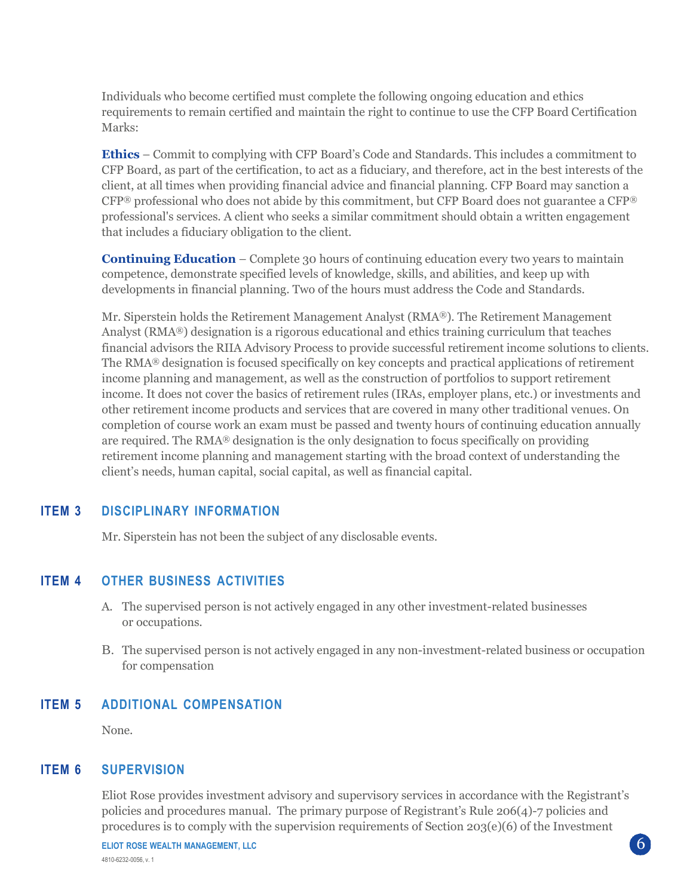Individuals who become certified must complete the following ongoing education and ethics requirements to remain certified and maintain the right to continue to use the CFP Board Certification Marks:

**Ethics** – Commit to complying with CFP Board's Code and Standards. This includes a commitment to CFP Board, as part of the certification, to act as a fiduciary, and therefore, act in the best interests of the client, at all times when providing financial advice and financial planning. CFP Board may sanction a CFP® professional who does not abide by this commitment, but CFP Board does not guarantee a CFP® professional's services. A client who seeks a similar commitment should obtain a written engagement that includes a fiduciary obligation to the client.

**Continuing Education** – Complete 30 hours of continuing education every two years to maintain competence, demonstrate specified levels of knowledge, skills, and abilities, and keep up with developments in financial planning. Two of the hours must address the Code and Standards.

Mr. Siperstein holds the Retirement Management Analyst (RMA®). The Retirement Management Analyst (RMA®) designation is a rigorous educational and ethics training curriculum that teaches financial advisors the RIIA Advisory Process to provide successful retirement income solutions to clients. The RMA® designation is focused specifically on key concepts and practical applications of retirement income planning and management, as well as the construction of portfolios to support retirement income. It does not cover the basics of retirement rules (IRAs, employer plans, etc.) or investments and other retirement income products and services that are covered in many other traditional venues. On completion of course work an exam must be passed and twenty hours of continuing education annually are required. The RMA® designation is the only designation to focus specifically on providing retirement income planning and management starting with the broad context of understanding the client's needs, human capital, social capital, as well as financial capital.

### **ITEM 3 DISCIPLINARY INFORMATION**

Mr. Siperstein has not been the subject of any disclosable events.

### **ITEM 4 OTHER BUSINESS ACTIVITIES**

- A. The supervised person is not actively engaged in any other investment-related businesses or occupations.
- B. The supervised person is not actively engaged in any non-investment-related business or occupation for compensation

#### **ITEM 5 ADDITIONAL COMPENSATION**

None.

#### **ITEM 6 SUPERVISION**

Eliot Rose provides investment advisory and supervisory services in accordance with the Registrant's policies and procedures manual. The primary purpose of Registrant's Rule 206(4)-7 policies and procedures is to comply with the supervision requirements of Section 203(e)(6) of the Investment